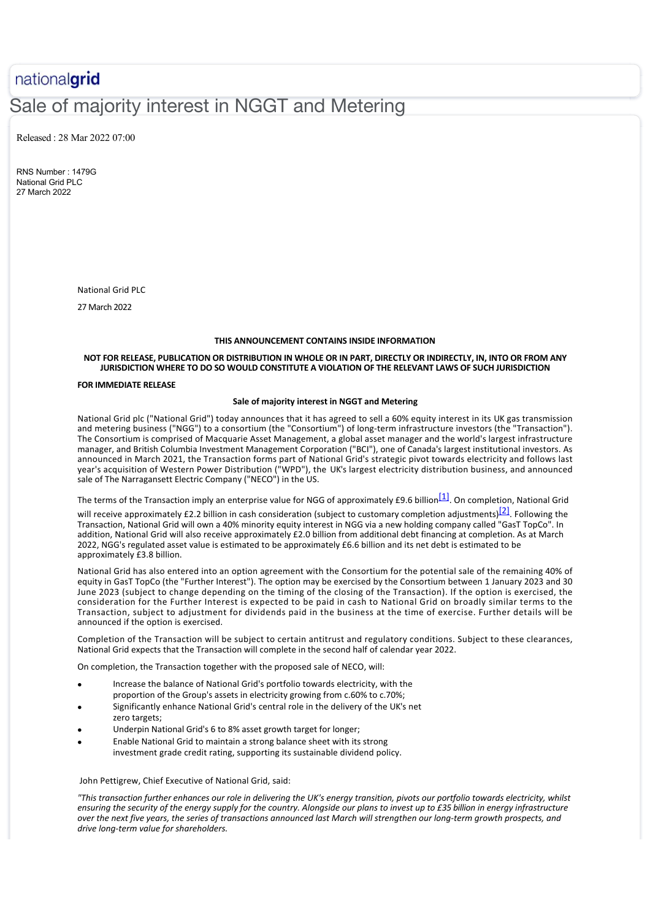# nationalgrid

# Sale of majority interest in NGGT and Metering

Released : 28 Mar 2022 07:00

RNS Number : 1479G National Grid PLC 27 March 2022

National Grid PLC

27 March 2022

# **THIS ANNOUNCEMENT CONTAINS INSIDE INFORMATION**

# **NOT FOR RELEASE, PUBLICATION OR DISTRIBUTION IN WHOLE OR IN PART, DIRECTLY OR INDIRECTLY, IN, INTO OR FROM ANY JURISDICTION WHERE TO DO SO WOULD CONSTITUTE A VIOLATION OF THE RELEVANT LAWS OF SUCH JURISDICTION**

## **FOR IMMEDIATE RELEASE**

# **Sale of majority interest in NGGT and Metering**

National Grid plc ("National Grid") today announces that it has agreed to sell a 60% equity interest in its UK gas transmission and metering business ("NGG") to a consortium (the "Consortium") of long-term infrastructure investors (the "Transaction"). The Consortium is comprised of Macquarie Asset Management, a global asset manager and the world's largest infrastructure manager, and British Columbia Investment Management Corporation ("BCI"), one of Canada's largest institutional investors. As announced in March 2021, the Transaction forms part of National Grid's strategic pivot towards electricity and follows last year's acquisition of Western Power Distribution ("WPD"), the UK's largest electricity distribution business, and announced sale of The Narragansett Electric Company ("NECO") in the US.

The terms of the Transaction imply an enterprise value for NGG of approximately £9.6 billion<sup>[\[1\]](#_ftn1)</sup>. On completion, National Grid

will receive approximately £2.2 billion in cash consideration (subject to customary completion adjustments) $[2]$ . Following the Transaction, National Grid will own a 40% minority equity interest in NGG via a new holding company called "GasT TopCo". In addition, National Grid will also receive approximately £2.0 billion from additional debt financing at completion. As at March 2022, NGG's regulated asset value is estimated to be approximately £6.6 billion and its net debt is estimated to be approximately £3.8 billion.

National Grid has also entered into an option agreement with the Consortium for the potential sale of the remaining 40% of equity in GasT TopCo (the "Further Interest"). The option may be exercised by the Consortium between 1 January 2023 and 30 June 2023 (subject to change depending on the timing of the closing of the Transaction). If the option is exercised, the consideration for the Further Interest is expected to be paid in cash to National Grid on broadly similar terms to the Transaction, subject to adjustment for dividends paid in the business at the time of exercise. Further details will be announced if the option is exercised.

Completion of the Transaction will be subject to certain antitrust and regulatory conditions. Subject to these clearances, National Grid expects that the Transaction will complete in the second half of calendar year 2022.

On completion, the Transaction together with the proposed sale of NECO, will:

- · Increase the balance of National Grid's portfolio towards electricity, with the
- proportion of the Group's assets in electricity growing from c.60% to c.70%;
- · Significantly enhance National Grid's central role in the delivery of the UK's net zero targets;
- · Underpin National Grid's 6 to 8% asset growth target for longer;
- · Enable National Grid to maintain a strong balance sheet with its strong investment grade credit rating, supporting its sustainable dividend policy.

John Pettigrew, Chief Executive of National Grid, said:

*"This transaction further enhances our role in delivering the UK's energy transition, pivots our portfolio towards electricity, whilst ensuring the security of the energy supply for the country. Alongside our plans to invest up to £35 billion in energy infrastructure over the next five years, the series of transactions announced last March will strengthen our long‐term growth prospects, and drive long‐term value for shareholders.*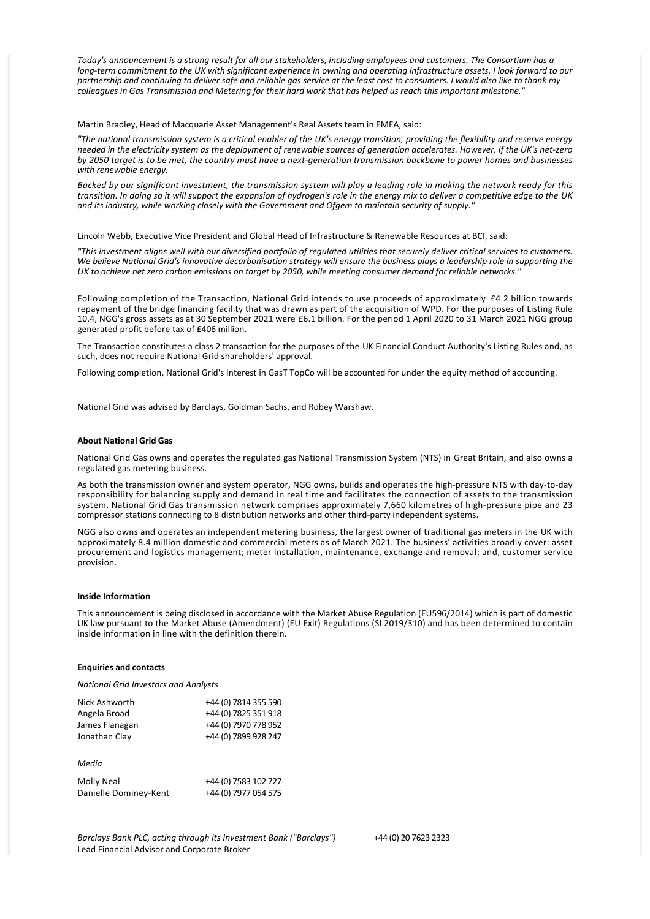*Today's announcement is a strong result for all our stakeholders, including employees and customers. The Consortium has a long‐term commitment to the UK with significant experience in owning and operating infrastructure assets. I look forward to our partnership and continuing to deliver safe and reliable gas service at the least cost to consumers. I would also like to thank my colleagues in Gas Transmission and Metering for their hard work that has helped us reach this important milestone."*

Martin Bradley, Head of Macquarie Asset Management's Real Assets team in EMEA, said:

*"The national transmission system is a critical enabler of the UK's energy transition, providing the flexibility and reserve energy needed in the electricity system as the deployment of renewable sources of generation accelerates. However, if the UK's net‐zero by 2050 target is to be met, the country must have a next‐generation transmission backbone to power homes and businesses with renewable energy.*

*Backed by our significant investment, the transmission system will play a leading role in making the network ready for this transition. In doing so it will support the expansion of hydrogen's role in the energy mix to deliver a competitive edge to the UK and its industry, while working closely with the Government and Ofgem to maintain security of supply."*

Lincoln Webb, Executive Vice President and Global Head of Infrastructure & Renewable Resources at BCI, said:

*"This investment aligns well with our diversified portfolio of regulated utilities that securely deliver critical services to customers. We believe National Grid's innovative decarbonisation strategy will ensure the business plays a leadership role in supporting the UK to achieve net zero carbon emissions on target by 2050, while meeting consumer demand for reliable networks."*

Following completion of the Transaction, National Grid intends to use proceeds of approximately £4.2 billion towards repayment of the bridge financing facility that was drawn as part of the acquisition of WPD. For the purposes of Listing Rule 10.4, NGG's gross assets as at 30 September 2021 were £6.1 billion. For the period 1 April 2020 to 31 March 2021 NGG group generated profit before tax of £406 million.

The Transaction constitutes a class 2 transaction for the purposes of the UK Financial Conduct Authority's Listing Rules and, as such, does not require National Grid shareholders' approval.

Following completion, National Grid's interest in GasT TopCo will be accounted for under the equity method of accounting.

National Grid was advised by Barclays, Goldman Sachs, and Robey Warshaw.

## **About National Grid Gas**

National Grid Gas owns and operates the regulated gas National Transmission System (NTS) in Great Britain, and also owns a regulated gas metering business.

As both the transmission owner and system operator, NGG owns, builds and operates the high-pressure NTS with day-to-day responsibility for balancing supply and demand in real time and facilitates the connection of assets to the transmission system. National Grid Gas transmission network comprises approximately 7,660 kilometres of high-pressure pipe and 23 compressor stations connecting to 8 distribution networks and other third‐party independent systems.

NGG also owns and operates an independent metering business, the largest owner of traditional gas meters in the UK with approximately 8.4 million domestic and commercial meters as of March 2021. The business' activities broadly cover: asset procurement and logistics management; meter installation, maintenance, exchange and removal; and, customer service provision.

#### **Inside Information**

This announcement is being disclosed in accordance with the Market Abuse Regulation (EU596/2014) which is part of domestic UK law pursuant to the Market Abuse (Amendment) (EU Exit) Regulations (SI 2019/310) and has been determined to contain inside information in line with the definition therein.

# **Enquiries and contacts**

*National Grid Investors and Analysts*

| Nick Ashworth         | +44 (0) 7814 355 590 |
|-----------------------|----------------------|
| Angela Broad          | +44 (0) 7825 351 918 |
| James Flanagan        | +44 (0) 7970 778 952 |
| Jonathan Clay         | +44 (0) 7899 928 247 |
| Media                 |                      |
| Molly Neal            | +44 (0) 7583 102 727 |
| Danielle Dominey-Kent | +44 (0) 7977 054 575 |

*Barclays Bank PLC, acting through its Investment Bank ("Barclays")* +44 (0) 20 7623 2323 Lead Financial Advisor and Corporate Broker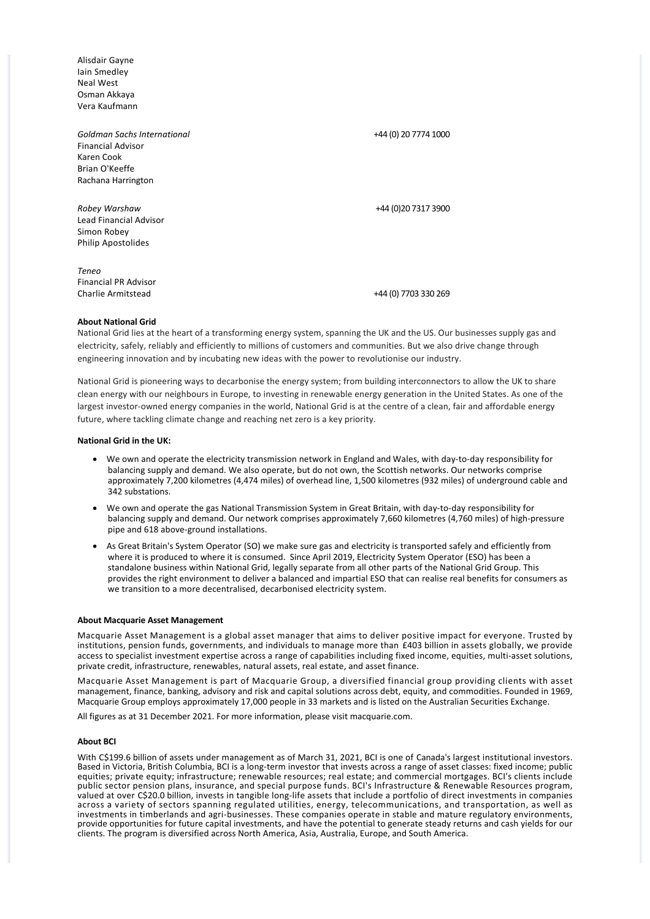Alisdair Gayne Iain Smedley Neal West Osman Akkaya Vera Kaufmann

*Goldman Sachs International* +44 (0) 20 7774 1000 Financial Advisor Karen Cook Brian O'Keeffe Rachana Harrington *Robey Warshaw* +44 (0)20 7317 3900 Lead Financial Advisor Simon Robey Philip Apostolides *Teneo* Financial PR Advisor Charlie Armitstead +44 (0) 7703 330 269

# **About National Grid**

National Grid lies at the heart of a transforming energy system, spanning the UK and the US. Our businesses supply gas and electricity, safely, reliably and efficiently to millions of customers and communities. But we also drive change through engineering innovation and by incubating new ideas with the power to revolutionise our industry.

National Grid is pioneering ways to decarbonise the energy system; from building interconnectors to allow the UK to share clean energy with our neighbours in Europe, to investing in renewable energy generation in the United States. As one of the largest investor‐owned energy companies in the world, National Grid is at the centre of a clean, fair and affordable energy future, where tackling climate change and reaching net zero is a key priority.

### **National Grid in the UK:**

- · We own and operate the electricity transmission network in England and Wales, with day‐to‐day responsibility for balancing supply and demand. We also operate, but do not own, the Scottish networks. Our networks comprise approximately 7,200 kilometres (4,474 miles) of overhead line, 1,500 kilometres (932 miles) of underground cable and 342 substations.
- · We own and operate the gas National Transmission System in Great Britain, with day‐to‐day responsibility for balancing supply and demand. Our network comprises approximately 7,660 kilometres (4,760 miles) of high‐pressure pipe and 618 above‐ground installations.
- · As Great Britain's System Operator (SO) we make sure gas and electricity is transported safely and efficiently from where it is produced to where it is consumed. Since April 2019, Electricity System Operator (ESO) has been a standalone business within National Grid, legally separate from all other parts of the National Grid Group. This provides the right environment to deliver a balanced and impartial ESO that can realise real benefits for consumers as we transition to a more decentralised, decarbonised electricity system.

#### **About Macquarie Asset Management**

Macquarie Asset Management is a global asset manager that aims to deliver positive impact for everyone. Trusted by institutions, pension funds, governments, and individuals to manage more than £403 billion in assets globally, we provide access to specialist investment expertise across a range of capabilities including fixed income, equities, multi-asset solutions, private credit, infrastructure, renewables, natural assets, real estate, and asset finance.

Macquarie Asset Management is part of Macquarie Group, a diversified financial group providing clients with asset management, finance, banking, advisory and risk and capital solutions across debt, equity, and commodities. Founded in 1969, Macquarie Group employs approximately 17,000 people in 33 markets and is listed on the Australian Securities Exchange.

All figures as at 31 December 2021. For more information, please visit macquarie.com.

# **About BCI**

With C\$199.6 billion of assets under management as of March 31, 2021, BCI is one of Canada's largest institutional investors. Based in Victoria, British Columbia, BCI is a long‐term investor that invests across a range of asset classes: fixed income; public equities; private equity; infrastructure; renewable resources; real estate; and commercial mortgages. BCI's clients include public sector pension plans, insurance, and special purpose funds. BCI's Infrastructure & Renewable Resources program, valued at over C\$20.0 billion, invests in tangible long‐life assets that include a portfolio of direct investments in companies across a variety of sectors spanning regulated utilities, energy, telecommunications, and transportation, as well as investments in timberlands and agri‐businesses. These companies operate in stable and mature regulatory environments, provide opportunities for future capital investments, and have the potential to generate steady returns and cash yields for our clients. The program is diversified across North America, Asia, Australia, Europe, and South America.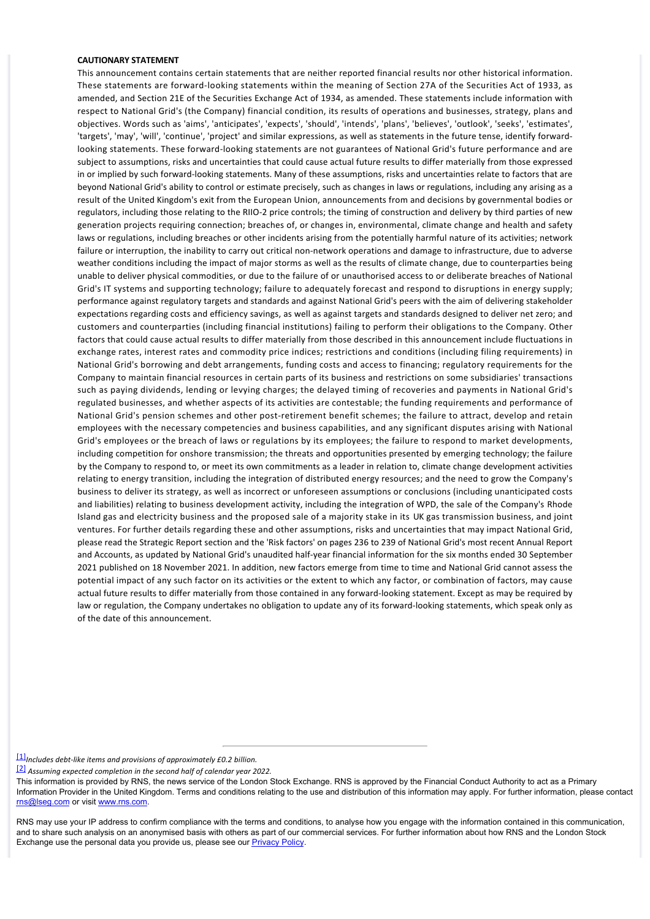# **CAUTIONARY STATEMENT**

This announcement contains certain statements that are neither reported financial results nor other historical information. These statements are forward‐looking statements within the meaning of Section 27A of the Securities Act of 1933, as amended, and Section 21E of the Securities Exchange Act of 1934, as amended. These statements include information with respect to National Grid's (the Company) financial condition, its results of operations and businesses, strategy, plans and objectives. Words such as 'aims', 'anticipates', 'expects', 'should', 'intends', 'plans', 'believes', 'outlook', 'seeks', 'estimates', 'targets', 'may', 'will', 'continue', 'project' and similar expressions, as well as statements in the future tense, identify forward‐ looking statements. These forward‐looking statements are not guarantees of National Grid's future performance and are subject to assumptions, risks and uncertainties that could cause actual future results to differ materially from those expressed in or implied by such forward‐looking statements. Many of these assumptions, risks and uncertainties relate to factors that are beyond National Grid's ability to control or estimate precisely, such as changes in laws or regulations, including any arising as a result of the United Kingdom's exit from the European Union, announcements from and decisions by governmental bodies or regulators, including those relating to the RIIO‐2 price controls; the timing of construction and delivery by third parties of new generation projects requiring connection; breaches of, or changes in, environmental, climate change and health and safety laws or regulations, including breaches or other incidents arising from the potentially harmful nature of its activities; network failure or interruption, the inability to carry out critical non-network operations and damage to infrastructure, due to adverse weather conditions including the impact of major storms as well as the results of climate change, due to counterparties being unable to deliver physical commodities, or due to the failure of or unauthorised access to or deliberate breaches of National Grid's IT systems and supporting technology; failure to adequately forecast and respond to disruptions in energy supply; performance against regulatory targets and standards and against National Grid's peers with the aim of delivering stakeholder expectations regarding costs and efficiency savings, as well as against targets and standards designed to deliver net zero; and customers and counterparties (including financial institutions) failing to perform their obligations to the Company. Other factors that could cause actual results to differ materially from those described in this announcement include fluctuations in exchange rates, interest rates and commodity price indices; restrictions and conditions (including filing requirements) in National Grid's borrowing and debt arrangements, funding costs and access to financing; regulatory requirements for the Company to maintain financial resources in certain parts of its business and restrictions on some subsidiaries' transactions such as paying dividends, lending or levying charges; the delayed timing of recoveries and payments in National Grid's regulated businesses, and whether aspects of its activities are contestable; the funding requirements and performance of National Grid's pension schemes and other post-retirement benefit schemes; the failure to attract, develop and retain employees with the necessary competencies and business capabilities, and any significant disputes arising with National Grid's employees or the breach of laws or regulations by its employees; the failure to respond to market developments, including competition for onshore transmission; the threats and opportunities presented by emerging technology; the failure by the Company to respond to, or meet its own commitments as a leader in relation to, climate change development activities relating to energy transition, including the integration of distributed energy resources; and the need to grow the Company's business to deliver its strategy, as well as incorrect or unforeseen assumptions or conclusions (including unanticipated costs and liabilities) relating to business development activity, including the integration of WPD, the sale of the Company's Rhode Island gas and electricity business and the proposed sale of a majority stake in its UK gas transmission business, and joint ventures. For further details regarding these and other assumptions, risks and uncertainties that may impact National Grid, please read the Strategic Report section and the 'Risk factors' on pages 236 to 239 of National Grid's most recent Annual Report and Accounts, as updated by National Grid's unaudited half‐year financial information for the six months ended 30 September 2021 published on 18 November 2021. In addition, new factors emerge from time to time and National Grid cannot assess the potential impact of any such factor on its activities or the extent to which any factor, or combination of factors, may cause actual future results to differ materially from those contained in any forward‐looking statement. Except as may be required by law or regulation, the Company undertakes no obligation to update any of its forward‐looking statements, which speak only as of the date of this announcement.

[\[1\]](#_ftnref1)*Includes debt‐like items and provisions of approximately £0.2 billion.*

[\[2\]](#_ftnref2) *Assuming expected completion in the second half of calendar year 2022.*

This information is provided by RNS, the news service of the London Stock Exchange. RNS is approved by the Financial Conduct Authority to act as a Primary Information Provider in the United Kingdom. Terms and conditions relating to the use and distribution of this information may apply. For further information, please contact [rns@lseg.com](mailto:rns@lseg.com) or visit [www.rns.com.](http://www.rns.com/)

RNS may use your IP address to confirm compliance with the terms and conditions, to analyse how you engage with the information contained in this communication, and to share such analysis on an anonymised basis with others as part of our commercial services. For further information about how RNS and the London Stock Exchange use the personal data you provide us, please see our **[Privacy Policy](https://www.lseg.com/privacy-and-cookie-policy)**.